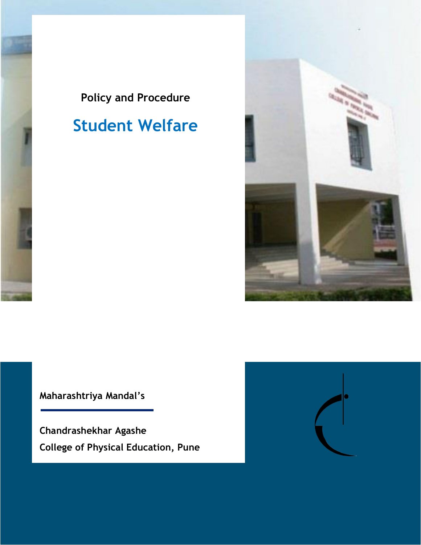

## **Student Welfare**



**Maharashtriya Mandal's**

**Chandrashekhar Agashe College of Physical Education, Pune**

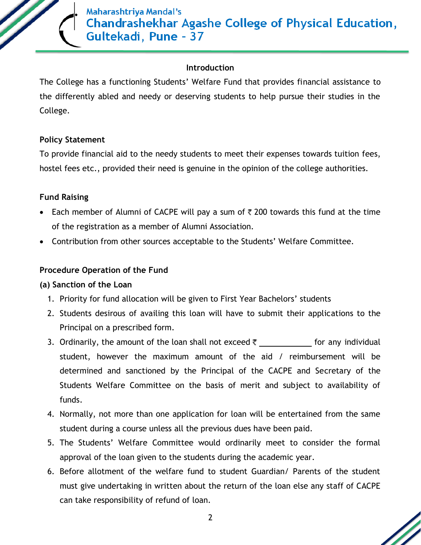

Maharashtriya Mandal's **Chandrashekhar Agashe College of Physical Education,** Gultekadi, Pune - 37

### **Introduction**

The College has a functioning Students' Welfare Fund that provides financial assistance to the differently abled and needy or deserving students to help pursue their studies in the College.

#### **Policy Statement**

To provide financial aid to the needy students to meet their expenses towards tuition fees, hostel fees etc., provided their need is genuine in the opinion of the college authorities.

### **Fund Raising**

- Each member of Alumni of CACPE will pay a sum of  $\bar{\tau}$  200 towards this fund at the time of the registration as a member of Alumni Association.
- Contribution from other sources acceptable to the Students' Welfare Committee.

### **Procedure Operation of the Fund**

### **(a) Sanction of the Loan**

- 1. Priority for fund allocation will be given to First Year Bachelors' students
- 2. Students desirous of availing this loan will have to submit their applications to the Principal on a prescribed form.
- 3. Ordinarily, the amount of the loan shall not exceed  $\bar{\tau}$  for any individual student, however the maximum amount of the aid / reimbursement will be determined and sanctioned by the Principal of the CACPE and Secretary of the Students Welfare Committee on the basis of merit and subject to availability of funds.
- 4. Normally, not more than one application for loan will be entertained from the same student during a course unless all the previous dues have been paid.
- 5. The Students' Welfare Committee would ordinarily meet to consider the formal approval of the loan given to the students during the academic year.
- 6. Before allotment of the welfare fund to student Guardian/ Parents of the student must give undertaking in written about the return of the loan else any staff of CACPE can take responsibility of refund of loan.

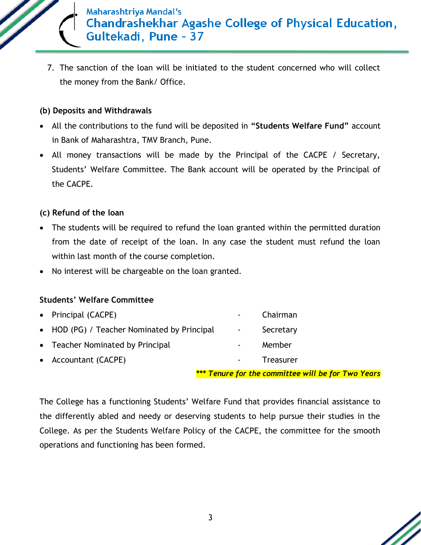

7. The sanction of the loan will be initiated to the student concerned who will collect the money from the Bank/ Office.

#### **(b) Deposits and Withdrawals**

- All the contributions to the fund will be deposited in **"Students Welfare Fund"** account in Bank of Maharashtra, TMV Branch, Pune.
- All money transactions will be made by the Principal of the CACPE / Secretary, Students' Welfare Committee. The Bank account will be operated by the Principal of the CACPE.

### **(c) Refund of the loan**

- The students will be required to refund the loan granted within the permitted duration from the date of receipt of the loan. In any case the student must refund the loan within last month of the course completion.
- No interest will be chargeable on the loan granted.

#### **Students' Welfare Committee**

| • Accountant (CACPE)                        |                     | <b>Treasurer</b> |
|---------------------------------------------|---------------------|------------------|
| • Teacher Nominated by Principal            |                     | Member           |
| • HOD (PG) / Teacher Nominated by Principal | $\sigma_{\rm{max}}$ | Secretary        |
| • Principal (CACPE)                         |                     | Chairman         |

*\*\*\* Tenure for the committee will be for Two Years*

The College has a functioning Students' Welfare Fund that provides financial assistance to the differently abled and needy or deserving students to help pursue their studies in the College. As per the Students Welfare Policy of the CACPE, the committee for the smooth operations and functioning has been formed.

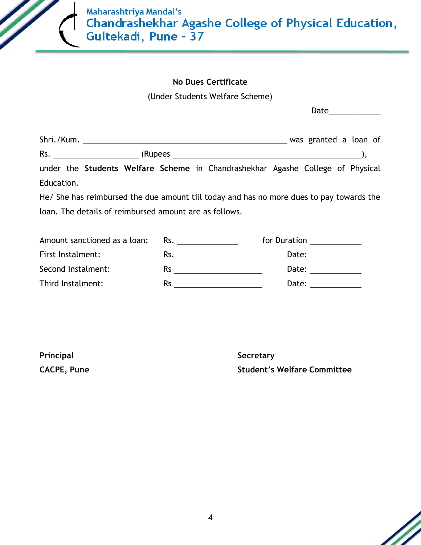

Maharashtriya Mandal's Chandrashekhar Agashe College of Physical Education, Gultekadi, Pune - 37

#### **No Dues Certificate**

(Under Students Welfare Scheme)

Date\_\_\_\_\_\_\_\_\_\_\_\_

| Shri./Kum. |  |          |  | was granted a loan of                                                           |  |  |  |
|------------|--|----------|--|---------------------------------------------------------------------------------|--|--|--|
| Rs.        |  | (Rupees) |  |                                                                                 |  |  |  |
|            |  |          |  | under the Chudents Welfare Ceheme in Chandrashelchar Agashe Cellege of Dhugical |  |  |  |

under the **Students Welfare Scheme** in Chandrashekhar Agashe College of Physical Education.

He/ She has reimbursed the due amount till today and has no more dues to pay towards the loan. The details of reimbursed amount are as follows.

| Amount sanctioned as a loan: | Rs.       | for Duration |
|------------------------------|-----------|--------------|
| First Instalment:            | Rs.       | Date:        |
| Second Instalment:           | <b>Rs</b> | Date:        |
| Third Instalment:            | Rs        | Date:        |

**Principal Secretary**

**CACPE, Pune Student's Welfare Committee**

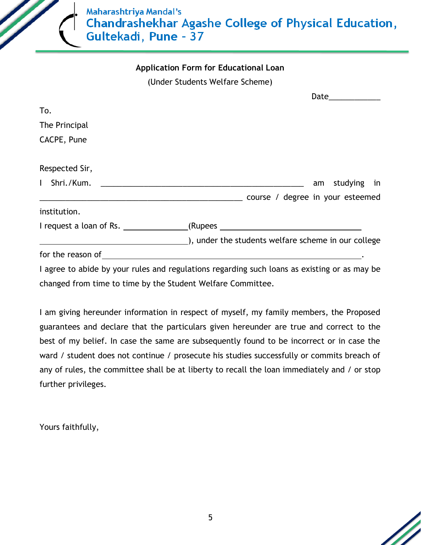

|                | <b>Application Form for Educational Loan</b>                                                 |                   |
|----------------|----------------------------------------------------------------------------------------------|-------------------|
|                | (Under Students Welfare Scheme)                                                              |                   |
|                |                                                                                              |                   |
| To.            |                                                                                              |                   |
| The Principal  |                                                                                              |                   |
| CACPE, Pune    |                                                                                              |                   |
| Respected Sir, |                                                                                              |                   |
| $\mathbf{L}$   |                                                                                              | studying in<br>am |
|                |                                                                                              |                   |
| institution.   |                                                                                              |                   |
|                | I request a loan of Rs. ________________(Rupees ________________________________             |                   |
|                |                                                                                              |                   |
|                |                                                                                              |                   |
|                | I agree to abide by your rules and regulations regarding such loans as existing or as may be |                   |

changed from time to time by the Student Welfare Committee.

I am giving hereunder information in respect of myself, my family members, the Proposed guarantees and declare that the particulars given hereunder are true and correct to the best of my belief. In case the same are subsequently found to be incorrect or in case the ward / student does not continue / prosecute his studies successfully or commits breach of any of rules, the committee shall be at liberty to recall the loan immediately and / or stop further privileges.

Yours faithfully,